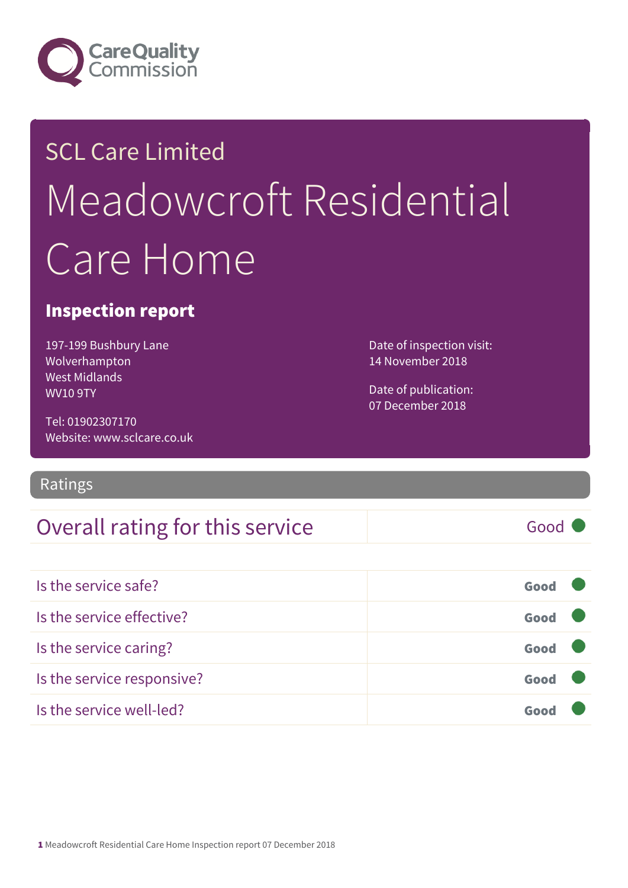

## SCL Care Limited Meadowcroft Residential Care Home

#### Inspection report

197-199 Bushbury Lane Wolverhampton West Midlands WV10 9TY

Date of inspection visit: 14 November 2018

Date of publication: 07 December 2018

Tel: 01902307170 Website: www.sclcare.co.uk

#### Ratings

#### Overall rating for this service Good

| Is the service safe?       | Good |  |
|----------------------------|------|--|
| Is the service effective?  | Good |  |
| Is the service caring?     | Good |  |
| Is the service responsive? | Good |  |
| Is the service well-led?   |      |  |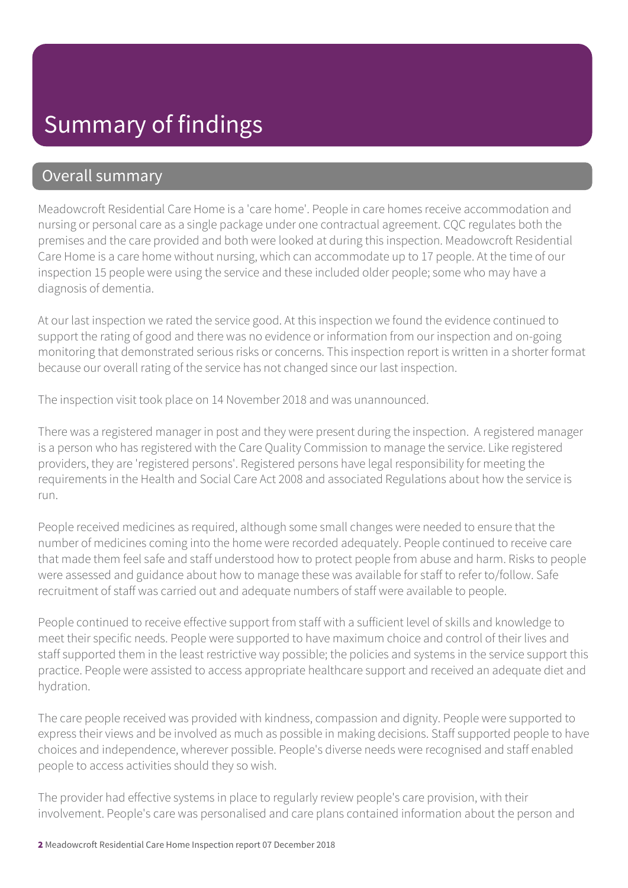#### Summary of findings

#### Overall summary

Meadowcroft Residential Care Home is a 'care home'. People in care homes receive accommodation and nursing or personal care as a single package under one contractual agreement. CQC regulates both the premises and the care provided and both were looked at during this inspection. Meadowcroft Residential Care Home is a care home without nursing, which can accommodate up to 17 people. At the time of our inspection 15 people were using the service and these included older people; some who may have a diagnosis of dementia.

At our last inspection we rated the service good. At this inspection we found the evidence continued to support the rating of good and there was no evidence or information from our inspection and on-going monitoring that demonstrated serious risks or concerns. This inspection report is written in a shorter format because our overall rating of the service has not changed since our last inspection.

The inspection visit took place on 14 November 2018 and was unannounced.

There was a registered manager in post and they were present during the inspection. A registered manager is a person who has registered with the Care Quality Commission to manage the service. Like registered providers, they are 'registered persons'. Registered persons have legal responsibility for meeting the requirements in the Health and Social Care Act 2008 and associated Regulations about how the service is run.

People received medicines as required, although some small changes were needed to ensure that the number of medicines coming into the home were recorded adequately. People continued to receive care that made them feel safe and staff understood how to protect people from abuse and harm. Risks to people were assessed and guidance about how to manage these was available for staff to refer to/follow. Safe recruitment of staff was carried out and adequate numbers of staff were available to people.

People continued to receive effective support from staff with a sufficient level of skills and knowledge to meet their specific needs. People were supported to have maximum choice and control of their lives and staff supported them in the least restrictive way possible; the policies and systems in the service support this practice. People were assisted to access appropriate healthcare support and received an adequate diet and hydration.

The care people received was provided with kindness, compassion and dignity. People were supported to express their views and be involved as much as possible in making decisions. Staff supported people to have choices and independence, wherever possible. People's diverse needs were recognised and staff enabled people to access activities should they so wish.

The provider had effective systems in place to regularly review people's care provision, with their involvement. People's care was personalised and care plans contained information about the person and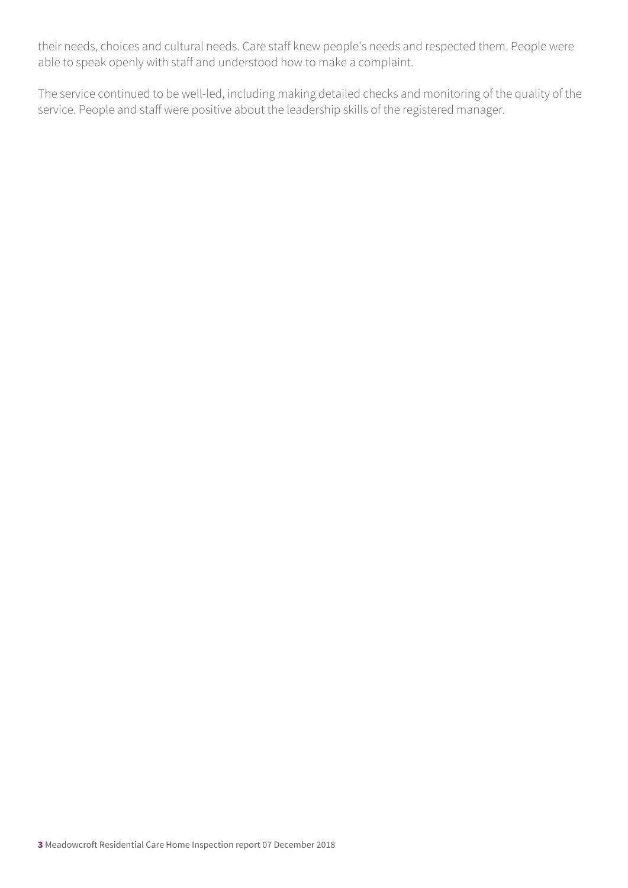their needs, choices and cultural needs. Care staff knew people's needs and respected them. People were able to speak openly with staff and understood how to make a complaint.

The service continued to be well-led, including making detailed checks and monitoring of the quality of the service. People and staff were positive about the leadership skills of the registered manager.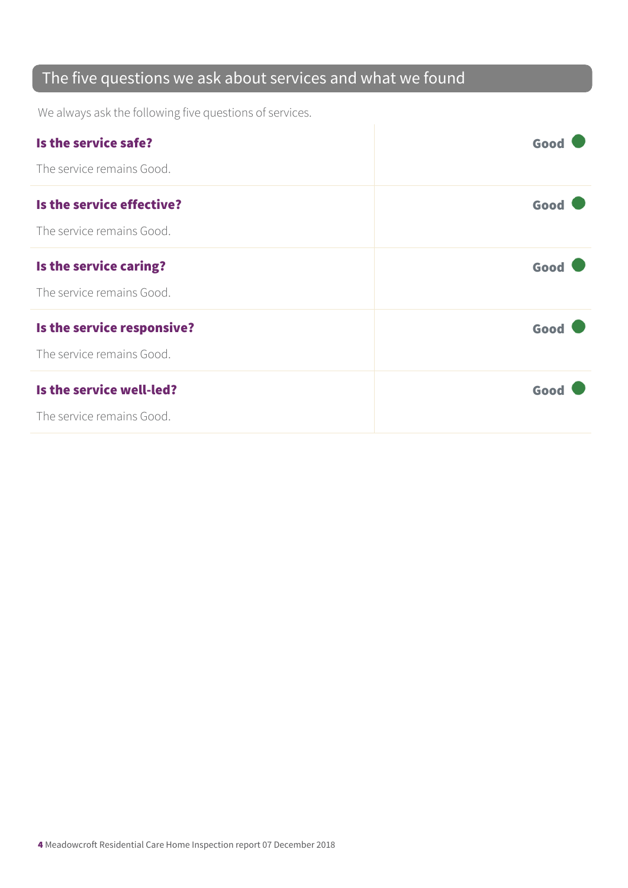#### The five questions we ask about services and what we found

We always ask the following five questions of services.

| Is the service safe?       | Good |
|----------------------------|------|
| The service remains Good.  |      |
| Is the service effective?  | Good |
| The service remains Good.  |      |
| Is the service caring?     | Good |
| The service remains Good.  |      |
| Is the service responsive? | Good |
| The service remains Good.  |      |
| Is the service well-led?   | Good |
| The service remains Good.  |      |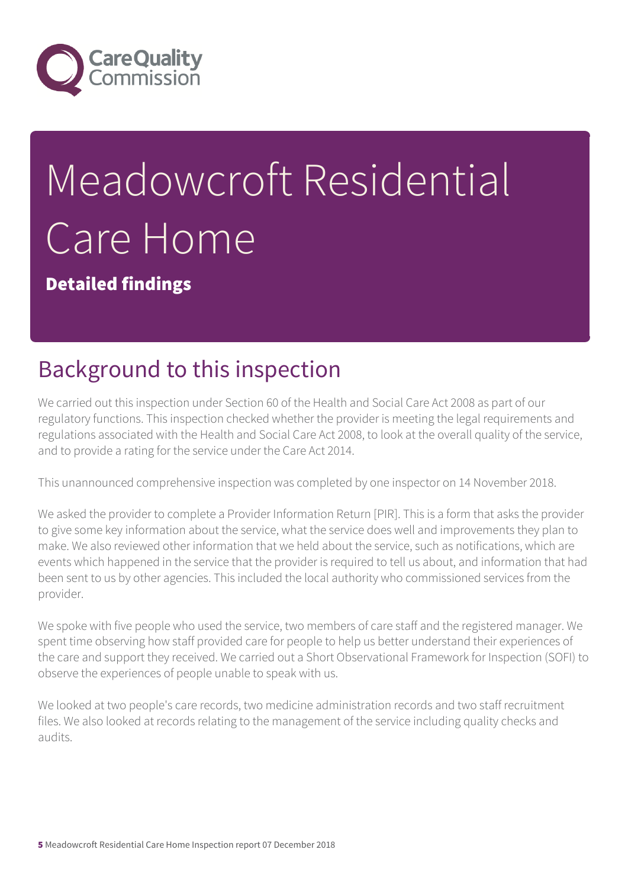

# Meadowcroft Residential Care Home

Detailed findings

## Background to this inspection

We carried out this inspection under Section 60 of the Health and Social Care Act 2008 as part of our regulatory functions. This inspection checked whether the provider is meeting the legal requirements and regulations associated with the Health and Social Care Act 2008, to look at the overall quality of the service, and to provide a rating for the service under the Care Act 2014.

This unannounced comprehensive inspection was completed by one inspector on 14 November 2018.

We asked the provider to complete a Provider Information Return [PIR]. This is a form that asks the provider to give some key information about the service, what the service does well and improvements they plan to make. We also reviewed other information that we held about the service, such as notifications, which are events which happened in the service that the provider is required to tell us about, and information that had been sent to us by other agencies. This included the local authority who commissioned services from the provider.

We spoke with five people who used the service, two members of care staff and the registered manager. We spent time observing how staff provided care for people to help us better understand their experiences of the care and support they received. We carried out a Short Observational Framework for Inspection (SOFI) to observe the experiences of people unable to speak with us.

We looked at two people's care records, two medicine administration records and two staff recruitment files. We also looked at records relating to the management of the service including quality checks and audits.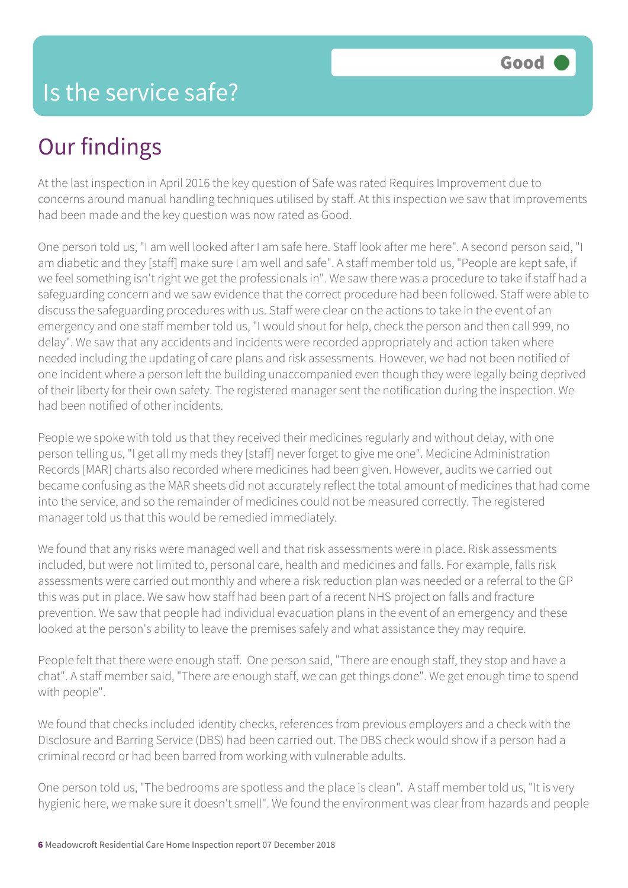## Our findings

At the last inspection in April 2016 the key question of Safe was rated Requires Improvement due to concerns around manual handling techniques utilised by staff. At this inspection we saw that improvements had been made and the key question was now rated as Good.

One person told us, "I am well looked after I am safe here. Staff look after me here". A second person said, "I am diabetic and they [staff] make sure I am well and safe". A staff member told us, "People are kept safe, if we feel something isn't right we get the professionals in". We saw there was a procedure to take if staff had a safeguarding concern and we saw evidence that the correct procedure had been followed. Staff were able to discuss the safeguarding procedures with us. Staff were clear on the actions to take in the event of an emergency and one staff member told us, "I would shout for help, check the person and then call 999, no delay". We saw that any accidents and incidents were recorded appropriately and action taken where needed including the updating of care plans and risk assessments. However, we had not been notified of one incident where a person left the building unaccompanied even though they were legally being deprived of their liberty for their own safety. The registered manager sent the notification during the inspection. We had been notified of other incidents.

People we spoke with told us that they received their medicines regularly and without delay, with one person telling us, "I get all my meds they [staff] never forget to give me one". Medicine Administration Records [MAR] charts also recorded where medicines had been given. However, audits we carried out became confusing as the MAR sheets did not accurately reflect the total amount of medicines that had come into the service, and so the remainder of medicines could not be measured correctly. The registered manager told us that this would be remedied immediately.

We found that any risks were managed well and that risk assessments were in place. Risk assessments included, but were not limited to, personal care, health and medicines and falls. For example, falls risk assessments were carried out monthly and where a risk reduction plan was needed or a referral to the GP this was put in place. We saw how staff had been part of a recent NHS project on falls and fracture prevention. We saw that people had individual evacuation plans in the event of an emergency and these looked at the person's ability to leave the premises safely and what assistance they may require.

People felt that there were enough staff. One person said, "There are enough staff, they stop and have a chat". A staff member said, "There are enough staff, we can get things done". We get enough time to spend with people".

We found that checks included identity checks, references from previous employers and a check with the Disclosure and Barring Service (DBS) had been carried out. The DBS check would show if a person had a criminal record or had been barred from working with vulnerable adults.

One person told us, "The bedrooms are spotless and the place is clean". A staff member told us, "It is very hygienic here, we make sure it doesn't smell". We found the environment was clear from hazards and people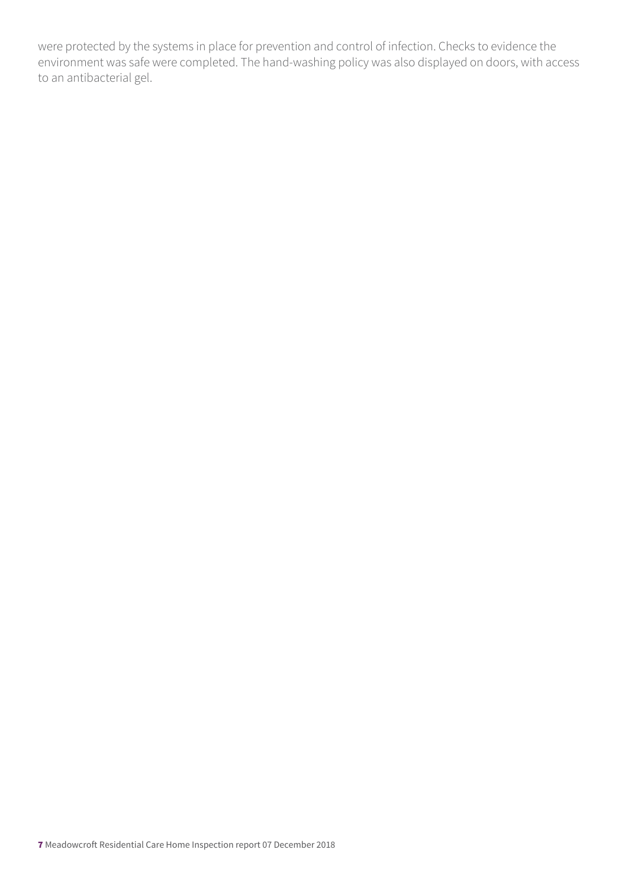were protected by the systems in place for prevention and control of infection. Checks to evidence the environment was safe were completed. The hand-washing policy was also displayed on doors, with access to an antibacterial gel.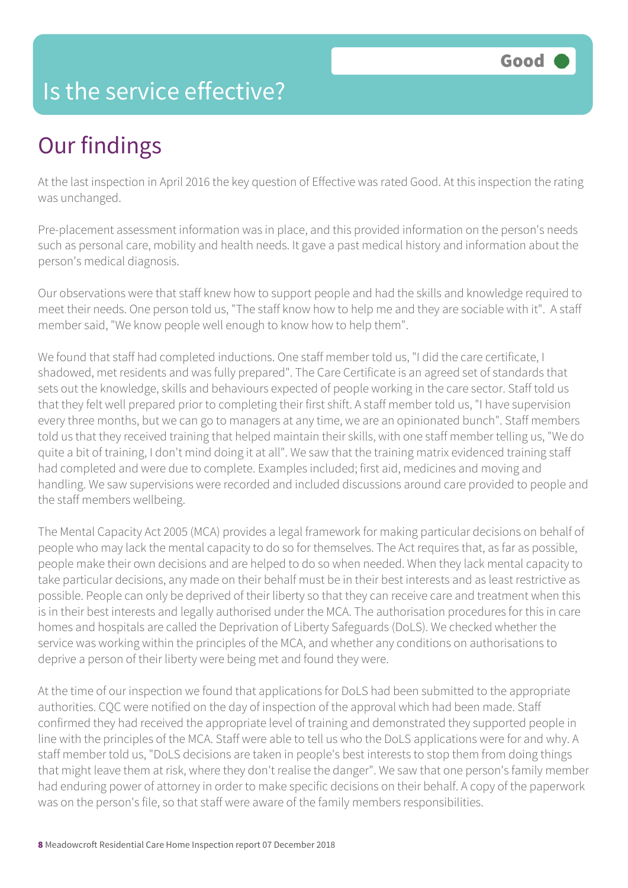#### Is the service effective?

## Our findings

At the last inspection in April 2016 the key question of Effective was rated Good. At this inspection the rating was unchanged.

Pre-placement assessment information was in place, and this provided information on the person's needs such as personal care, mobility and health needs. It gave a past medical history and information about the person's medical diagnosis.

Our observations were that staff knew how to support people and had the skills and knowledge required to meet their needs. One person told us, "The staff know how to help me and they are sociable with it". A staff member said, "We know people well enough to know how to help them".

We found that staff had completed inductions. One staff member told us, "I did the care certificate, I shadowed, met residents and was fully prepared". The Care Certificate is an agreed set of standards that sets out the knowledge, skills and behaviours expected of people working in the care sector. Staff told us that they felt well prepared prior to completing their first shift. A staff member told us, "I have supervision every three months, but we can go to managers at any time, we are an opinionated bunch". Staff members told us that they received training that helped maintain their skills, with one staff member telling us, "We do quite a bit of training, I don't mind doing it at all". We saw that the training matrix evidenced training staff had completed and were due to complete. Examples included; first aid, medicines and moving and handling. We saw supervisions were recorded and included discussions around care provided to people and the staff members wellbeing.

The Mental Capacity Act 2005 (MCA) provides a legal framework for making particular decisions on behalf of people who may lack the mental capacity to do so for themselves. The Act requires that, as far as possible, people make their own decisions and are helped to do so when needed. When they lack mental capacity to take particular decisions, any made on their behalf must be in their best interests and as least restrictive as possible. People can only be deprived of their liberty so that they can receive care and treatment when this is in their best interests and legally authorised under the MCA. The authorisation procedures for this in care homes and hospitals are called the Deprivation of Liberty Safeguards (DoLS). We checked whether the service was working within the principles of the MCA, and whether any conditions on authorisations to deprive a person of their liberty were being met and found they were.

At the time of our inspection we found that applications for DoLS had been submitted to the appropriate authorities. CQC were notified on the day of inspection of the approval which had been made. Staff confirmed they had received the appropriate level of training and demonstrated they supported people in line with the principles of the MCA. Staff were able to tell us who the DoLS applications were for and why. A staff member told us, "DoLS decisions are taken in people's best interests to stop them from doing things that might leave them at risk, where they don't realise the danger". We saw that one person's family member had enduring power of attorney in order to make specific decisions on their behalf. A copy of the paperwork was on the person's file, so that staff were aware of the family members responsibilities.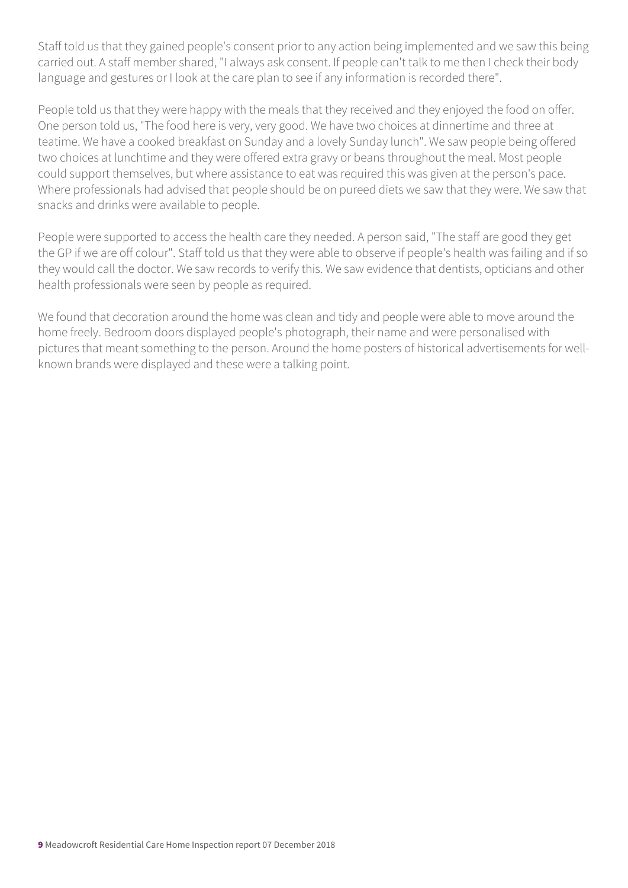Staff told us that they gained people's consent prior to any action being implemented and we saw this being carried out. A staff member shared, "I always ask consent. If people can't talk to me then I check their body language and gestures or I look at the care plan to see if any information is recorded there".

People told us that they were happy with the meals that they received and they enjoyed the food on offer. One person told us, "The food here is very, very good. We have two choices at dinnertime and three at teatime. We have a cooked breakfast on Sunday and a lovely Sunday lunch". We saw people being offered two choices at lunchtime and they were offered extra gravy or beans throughout the meal. Most people could support themselves, but where assistance to eat was required this was given at the person's pace. Where professionals had advised that people should be on pureed diets we saw that they were. We saw that snacks and drinks were available to people.

People were supported to access the health care they needed. A person said, "The staff are good they get the GP if we are off colour". Staff told us that they were able to observe if people's health was failing and if so they would call the doctor. We saw records to verify this. We saw evidence that dentists, opticians and other health professionals were seen by people as required.

We found that decoration around the home was clean and tidy and people were able to move around the home freely. Bedroom doors displayed people's photograph, their name and were personalised with pictures that meant something to the person. Around the home posters of historical advertisements for wellknown brands were displayed and these were a talking point.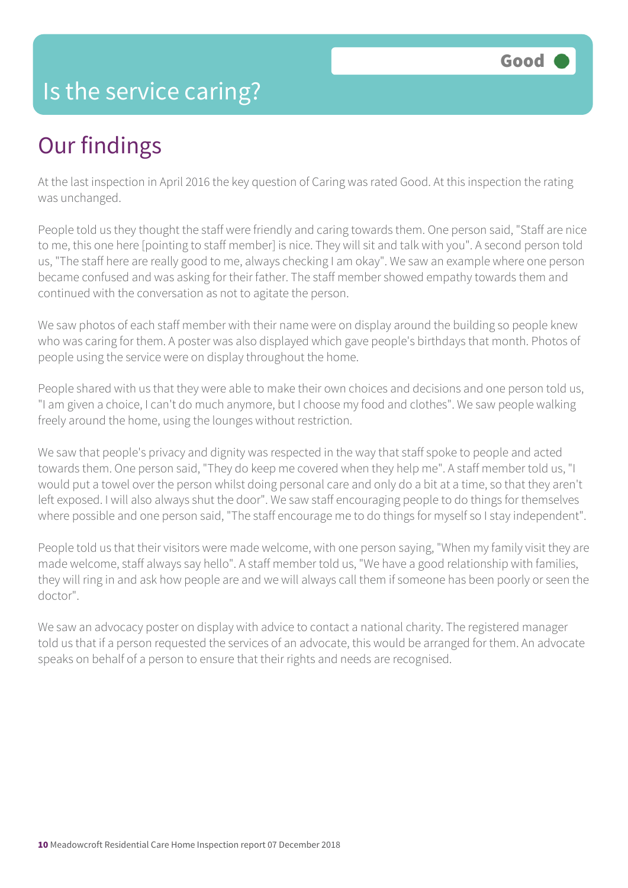#### Is the service caring?

## Our findings

At the last inspection in April 2016 the key question of Caring was rated Good. At this inspection the rating was unchanged.

People told us they thought the staff were friendly and caring towards them. One person said, "Staff are nice to me, this one here [pointing to staff member] is nice. They will sit and talk with you". A second person told us, "The staff here are really good to me, always checking I am okay". We saw an example where one person became confused and was asking for their father. The staff member showed empathy towards them and continued with the conversation as not to agitate the person.

We saw photos of each staff member with their name were on display around the building so people knew who was caring for them. A poster was also displayed which gave people's birthdays that month. Photos of people using the service were on display throughout the home.

People shared with us that they were able to make their own choices and decisions and one person told us, "I am given a choice, I can't do much anymore, but I choose my food and clothes". We saw people walking freely around the home, using the lounges without restriction.

We saw that people's privacy and dignity was respected in the way that staff spoke to people and acted towards them. One person said, "They do keep me covered when they help me". A staff member told us, "I would put a towel over the person whilst doing personal care and only do a bit at a time, so that they aren't left exposed. I will also always shut the door". We saw staff encouraging people to do things for themselves where possible and one person said, "The staff encourage me to do things for myself so I stay independent".

People told us that their visitors were made welcome, with one person saying, "When my family visit they are made welcome, staff always say hello". A staff member told us, "We have a good relationship with families, they will ring in and ask how people are and we will always call them if someone has been poorly or seen the doctor".

We saw an advocacy poster on display with advice to contact a national charity. The registered manager told us that if a person requested the services of an advocate, this would be arranged for them. An advocate speaks on behalf of a person to ensure that their rights and needs are recognised.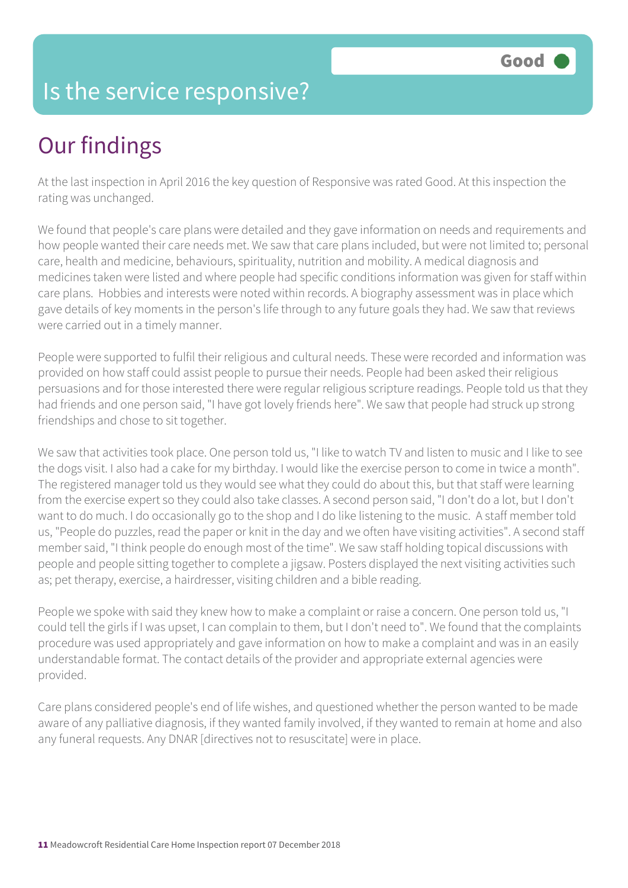#### Is the service responsive?

## Our findings

At the last inspection in April 2016 the key question of Responsive was rated Good. At this inspection the rating was unchanged.

We found that people's care plans were detailed and they gave information on needs and requirements and how people wanted their care needs met. We saw that care plans included, but were not limited to; personal care, health and medicine, behaviours, spirituality, nutrition and mobility. A medical diagnosis and medicines taken were listed and where people had specific conditions information was given for staff within care plans. Hobbies and interests were noted within records. A biography assessment was in place which gave details of key moments in the person's life through to any future goals they had. We saw that reviews were carried out in a timely manner.

People were supported to fulfil their religious and cultural needs. These were recorded and information was provided on how staff could assist people to pursue their needs. People had been asked their religious persuasions and for those interested there were regular religious scripture readings. People told us that they had friends and one person said, "I have got lovely friends here". We saw that people had struck up strong friendships and chose to sit together.

We saw that activities took place. One person told us, "I like to watch TV and listen to music and I like to see the dogs visit. I also had a cake for my birthday. I would like the exercise person to come in twice a month". The registered manager told us they would see what they could do about this, but that staff were learning from the exercise expert so they could also take classes. A second person said, "I don't do a lot, but I don't want to do much. I do occasionally go to the shop and I do like listening to the music. A staff member told us, "People do puzzles, read the paper or knit in the day and we often have visiting activities". A second staff member said, "I think people do enough most of the time". We saw staff holding topical discussions with people and people sitting together to complete a jigsaw. Posters displayed the next visiting activities such as; pet therapy, exercise, a hairdresser, visiting children and a bible reading.

People we spoke with said they knew how to make a complaint or raise a concern. One person told us, "I could tell the girls if I was upset, I can complain to them, but I don't need to". We found that the complaints procedure was used appropriately and gave information on how to make a complaint and was in an easily understandable format. The contact details of the provider and appropriate external agencies were provided.

Care plans considered people's end of life wishes, and questioned whether the person wanted to be made aware of any palliative diagnosis, if they wanted family involved, if they wanted to remain at home and also any funeral requests. Any DNAR [directives not to resuscitate] were in place.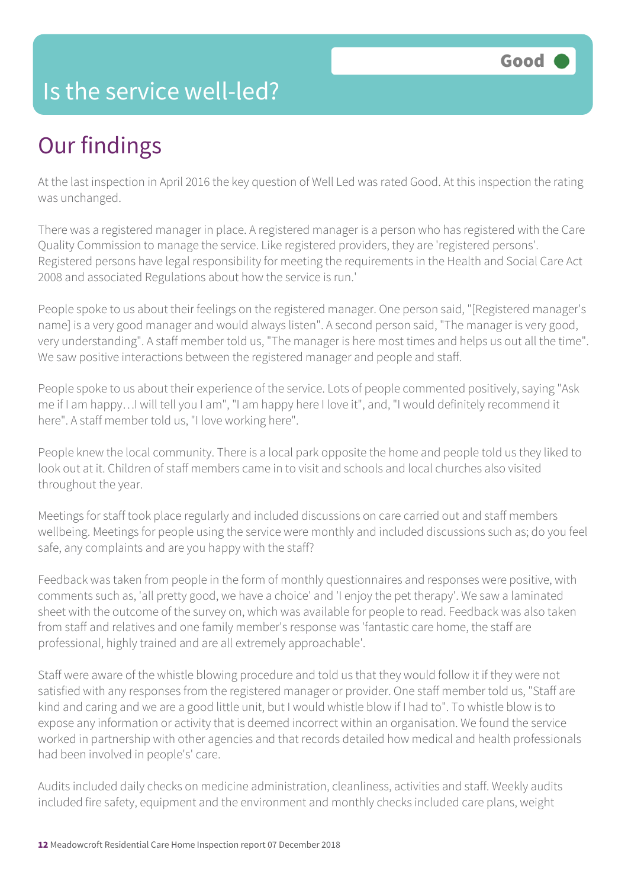#### Is the service well-led?

## Our findings

At the last inspection in April 2016 the key question of Well Led was rated Good. At this inspection the rating was unchanged.

There was a registered manager in place. A registered manager is a person who has registered with the Care Quality Commission to manage the service. Like registered providers, they are 'registered persons'. Registered persons have legal responsibility for meeting the requirements in the Health and Social Care Act 2008 and associated Regulations about how the service is run.'

People spoke to us about their feelings on the registered manager. One person said, "[Registered manager's name] is a very good manager and would always listen". A second person said, "The manager is very good, very understanding". A staff member told us, "The manager is here most times and helps us out all the time". We saw positive interactions between the registered manager and people and staff.

People spoke to us about their experience of the service. Lots of people commented positively, saying "Ask me if I am happy…I will tell you I am", "I am happy here I love it", and, "I would definitely recommend it here". A staff member told us, "I love working here".

People knew the local community. There is a local park opposite the home and people told us they liked to look out at it. Children of staff members came in to visit and schools and local churches also visited throughout the year.

Meetings for staff took place regularly and included discussions on care carried out and staff members wellbeing. Meetings for people using the service were monthly and included discussions such as; do you feel safe, any complaints and are you happy with the staff?

Feedback was taken from people in the form of monthly questionnaires and responses were positive, with comments such as, 'all pretty good, we have a choice' and 'I enjoy the pet therapy'. We saw a laminated sheet with the outcome of the survey on, which was available for people to read. Feedback was also taken from staff and relatives and one family member's response was 'fantastic care home, the staff are professional, highly trained and are all extremely approachable'.

Staff were aware of the whistle blowing procedure and told us that they would follow it if they were not satisfied with any responses from the registered manager or provider. One staff member told us, "Staff are kind and caring and we are a good little unit, but I would whistle blow if I had to". To whistle blow is to expose any information or activity that is deemed incorrect within an organisation. We found the service worked in partnership with other agencies and that records detailed how medical and health professionals had been involved in people's' care.

Audits included daily checks on medicine administration, cleanliness, activities and staff. Weekly audits included fire safety, equipment and the environment and monthly checks included care plans, weight